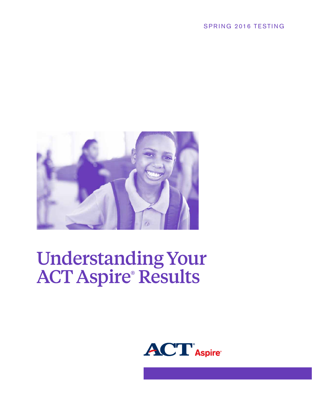### SPRING 2016 TESTING



# Understanding Your ACT Aspire® Results

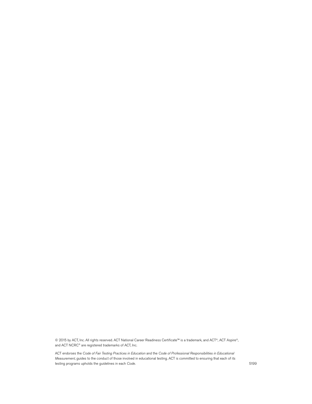© 2015 by ACT, Inc. All rights reserved. ACT National Career Readiness Certificate™ is a trademark, and ACT®, ACT Aspire®, and ACT NCRC® are registered trademarks of ACT, Inc.

ACT endorses the *Code of Fair Testing Practices in Education* and the *Code of Professional Responsibilities in Educational Measurement*, guides to the conduct of those involved in educational testing. ACT is committed to ensuring that each of its testing programs upholds the guidelines in each *Code*. 5199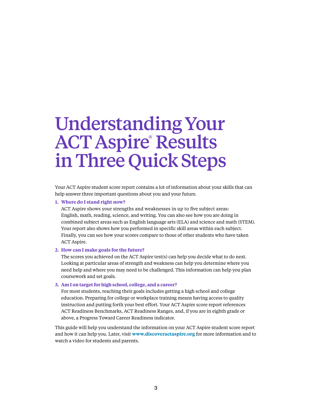## Understanding Your ACT Aspire® Results inThree Quick Steps

Your ACT Aspire student score report contains a lot of information about your skills that can help answer three important questions about you and your future.

#### **1. Where do I stand right now?**

ACT Aspire shows your strengths and weaknesses in up to five subject areas: English, math, reading, science, and writing. You can also see how you are doing in combined subject areas such as English language arts (ELA) and science and math (STEM). Your report also shows how you performed in specific skill areas within each subject. Finally, you can see how your scores compare to those of other students who have taken ACT Aspire.

#### **2. How can I make goals for the future?**

The scores you achieved on the ACT Aspire test(s) can help you decide what to do next. Looking at particular areas of strength and weakness can help you determine where you need help and where you may need to be challenged. This information can help you plan coursework and set goals.

#### **3. Am I on target for high school, college, and a career?**

For most students, reaching their goals includes getting a high school and college education. Preparing for college or workplace training means having access to quality instruction and putting forth your best effort. Your ACT Aspire score report references ACT Readiness Benchmarks, ACT Readiness Ranges, and, if you are in eighth grade or above, a Progress Toward Career Readiness indicator.

This guide will help you understand the information on your ACT Aspire student score report and how it can help you. Later, visit **www.discoveractaspire.org** for more information and to watch a video for students and parents.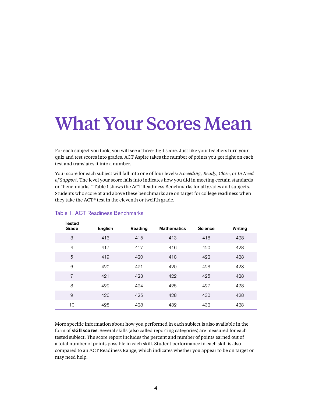# What Your Scores Mean

For each subject you took, you will see a three-digit score. Just like your teachers turn your quiz and test scores into grades, ACT Aspire takes the number of points you got right on each test and translates it into a number.

Your score for each subject will fall into one of four levels: *Exceeding, Ready*, *Close*, or *In Need of Support*. The level your score falls into indicates how you did in meeting certain standards or "benchmarks." Table 1 shows the ACT Readiness Benchmarks for all grades and subjects. Students who score at and above these benchmarks are on target for college readiness when they take the ACT® test in the eleventh or twelfth grade.

| <b>lested</b>  |         |         |                    |                |         |  |
|----------------|---------|---------|--------------------|----------------|---------|--|
| Grade          | English | Reading | <b>Mathematics</b> | <b>Science</b> | Writing |  |
| 3              | 413     | 415     | 413                | 418            | 428     |  |
| $\overline{4}$ | 417     | 417     | 416                | 420            | 428     |  |
| 5              | 419     | 420     | 418                | 422            | 428     |  |
| 6              | 420     | 421     | 420                | 423            | 428     |  |
| 7              | 421     | 423     | 422                | 425            | 428     |  |
| 8              | 422     | 424     | 425                | 427            | 428     |  |
| 9              | 426     | 425     | 428                | 430            | 428     |  |
| 10             | 428     | 428     | 432                | 432            | 428     |  |

#### Table 1. ACT Readiness Benchmarks

 $\overline{z}$   $\overline{z}$   $\overline{z}$ 

More specific information about how you performed in each subject is also available in the form of **skill scores**. Several skills (also called reporting categories) are measured for each tested subject. The score report includes the percent and number of points earned out of a total number of points possible in each skill. Student performance in each skill is also compared to an ACT Readiness Range, which indicates whether you appear to be on target or may need help.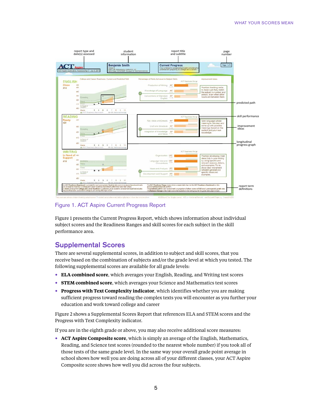

Figure 1. ACT Aspire Current Progress Report

Figure 1 presents the Current Progress Report, which shows information about individual subject scores and the Readiness Ranges and skill scores for each subject in the skill performance area.

### Supplemental Scores

There are several supplemental scores, in addition to subject and skill scores, that you receive based on the combination of subjects and/or the grade level at which you tested. The following supplemental scores are available for all grade levels:

- **ELA combined score**, which averages your English, Reading, and Writing test scores
- **STEM combined score**, which averages your Science and Mathematics test scores
- **Progress with Text Complexity indicator**, which identifies whether you are making sufficient progress toward reading the complex texts you will encounter as you further your education and work toward college and career

Figure 2 shows a Supplemental Scores Report that references ELA and STEM scores and the Progress with Text Complexity indicator.

If you are in the eighth grade or above, you may also receive additional score measures:

• **ACT Aspire Composite score**, which is simply an average of the English, Mathematics, Reading, and Science test scores (rounded to the nearest whole number) if you took all of those tests of the same grade level. In the same way your overall grade point average in school shows how well you are doing across all of your different classes, your ACT Aspire Composite score shows how well you did across the four subjects.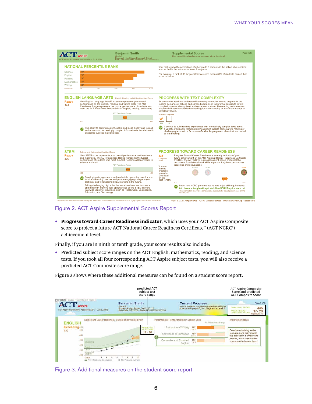|                                                                | $\mathbf{ACT}$ Aspire<br>ACT Aspire Summative, Assessed Apr 7-15, 2014                                                                                                                                                                                                                                                                                                                                                              | <b>Benjamin Smith</b><br>Grade 9<br>Brunswick High School, Brunswick District<br>Birth Date: 6/25/2006. Student ID: 0023002100320 |                         | <b>Supplemental Scores</b><br>How can additional performance measures inform decisions?                                                                                                                                                                                                                                                                                                                | Page 3 of 3 |  |  |
|----------------------------------------------------------------|-------------------------------------------------------------------------------------------------------------------------------------------------------------------------------------------------------------------------------------------------------------------------------------------------------------------------------------------------------------------------------------------------------------------------------------|-----------------------------------------------------------------------------------------------------------------------------------|-------------------------|--------------------------------------------------------------------------------------------------------------------------------------------------------------------------------------------------------------------------------------------------------------------------------------------------------------------------------------------------------------------------------------------------------|-------------|--|--|
|                                                                | <b>NATIONAL PERCENTILE RANK</b>                                                                                                                                                                                                                                                                                                                                                                                                     |                                                                                                                                   |                         | Your ranks show the percentage of other grade 9 students in the nation who received<br>a score that is the same as or lower than yours.                                                                                                                                                                                                                                                                |             |  |  |
| Science<br>English<br>Reading<br><b>Mathematics</b><br>Writing | 89 <sup>0</sup><br><b>78th</b><br>74 <sup>th</sup><br>60 <sup>th</sup><br>58 <sup>th</sup>                                                                                                                                                                                                                                                                                                                                          |                                                                                                                                   |                         | For example, a rank of 89 for your Science score means 89% of students earned that<br>score or below.                                                                                                                                                                                                                                                                                                  |             |  |  |
| Percentile                                                     | $\overline{1}$<br>25 <sup>th</sup>                                                                                                                                                                                                                                                                                                                                                                                                  | 50 <sup>e</sup><br>75 <sup>o</sup>                                                                                                | 100 <sup>m</sup>        |                                                                                                                                                                                                                                                                                                                                                                                                        |             |  |  |
|                                                                | <b>ENGLISH LANGUAGE ARTS</b> English, Reading and Writing Combined Score                                                                                                                                                                                                                                                                                                                                                            |                                                                                                                                   |                         | <b>PROGRESS WITH TEXT COMPLEXITY</b>                                                                                                                                                                                                                                                                                                                                                                   |             |  |  |
| <b>Ready</b><br>432                                            | Your English Language Arts (ELA) score represents your overall<br>performance on the English, reading, and writing tests. The ACT<br>Readiness Range represents the typical performance of students who<br>meet the ACT Readiness Benchmarks in English, reading, and writing.                                                                                                                                                      | <b>ACT Readiness Range</b><br>432                                                                                                 |                         | Students must read and understand increasingly complex texts to prepare for the<br>reading demands of college and career. Examples of factors that contribute to text<br>complexity are vocabulary level and sentence structure. The reading test measures<br>progress with text complexity by checking for understanding of texts from a range of<br>complexity levels.<br><b>Sufficient Progress</b> |             |  |  |
|                                                                | 403                                                                                                                                                                                                                                                                                                                                                                                                                                 |                                                                                                                                   | 449<br><b>No</b><br>Yes |                                                                                                                                                                                                                                                                                                                                                                                                        |             |  |  |
|                                                                | The ability to communicate thoughts and ideas clearly and to read<br>and understand increasingly complex information is foundational to<br>academic success in all subjects.                                                                                                                                                                                                                                                        |                                                                                                                                   |                         | Continue to build reading experiences with increasingly complex texts about<br>a variety of subjects. Reading routines should include some careful reading of<br>challenging texts with a focus on unfamiliar language and ideas that are central<br>to the meaning.                                                                                                                                   |             |  |  |
| <b>STEM</b>                                                    |                                                                                                                                                                                                                                                                                                                                                                                                                                     |                                                                                                                                   |                         | <b>PROGRESS TOWARD CAREER READINESS</b>                                                                                                                                                                                                                                                                                                                                                                |             |  |  |
| <b>Ready</b><br>436                                            | Science and Mathematics Combined Score<br>Your STEM score represents your overall performance on the science<br>and math tests. The ACT Readiness Range represents the typical<br>performance of students who meet the ACT Readiness Benchmarks in<br>science and math.                                                                                                                                                             | <b>ACT Readiness Range</b><br>436                                                                                                 | 435<br>Score<br>making  | Progress Toward Career Readiness is an early indicator of your<br>future achievement on the ACT National Career Readiness Certificate<br>Composite<br>(NCRC). The ACT NCRC is an assessment-based credential that<br>documents foundational work skills important for job success across<br>industries and occupations.<br>You are<br><b>Rrnnze</b><br>Silver                                          | Gold        |  |  |
|                                                                | 400                                                                                                                                                                                                                                                                                                                                                                                                                                 |                                                                                                                                   | 455                     | progress<br>toward a                                                                                                                                                                                                                                                                                                                                                                                   |             |  |  |
|                                                                | Developing strong science and math skills opens the door for you<br>to take interesting courses and pursue engaging college majors<br>that may lead to rewarding STEM careers in the future.<br>Taking challenging high school or vocational courses in science<br>and math can improve your opportunities to find STEM careers<br>in a wide variety of industries, such as Health Care, Engineering,<br>Education, and Technology. |                                                                                                                                   |                         | Gold level<br>on the<br><b>ACT NCRC.</b><br>400                                                                                                                                                                                                                                                                                                                                                        |             |  |  |
|                                                                |                                                                                                                                                                                                                                                                                                                                                                                                                                     |                                                                                                                                   |                         | 452<br>Learn how NCRC performance relates to job skill requirements:<br>http://www.act.org/workkeys/briefs/files/NCRCRequirements.pdf.<br>This information is not to be considered a substitute for actual performance on the<br><b>ACT NCRC.</b>                                                                                                                                                      |             |  |  |

Figure 2. ACT Aspire Supplemental Scores Report

• **Progress toward Career Readiness indicator**, which uses your ACT Aspire Composite score to project a future ACT National Career Readiness Certificate™ (ACT NCRC®) achievement level.

Finally, if you are in ninth or tenth grade, your score results also include:

• Predicted subject score ranges on the ACT English, mathematics, reading, and science tests. If you took all four corresponding ACT Aspire subject tests, you will also receive a predicted ACT Composite score range.

Figure 3 shows where these additional measures can be found on a student score report.

|                                 |                                                                                                 | predicted ACT<br>subject test<br>score range                                                                                  |                                                                                               |                                                                                                       | <b>ACT Aspire Composite</b><br>Score and predicted<br><b>ACT Composite Score</b>                           |
|---------------------------------|-------------------------------------------------------------------------------------------------|-------------------------------------------------------------------------------------------------------------------------------|-----------------------------------------------------------------------------------------------|-------------------------------------------------------------------------------------------------------|------------------------------------------------------------------------------------------------------------|
| <b>ACT</b> Aspire               | PROTOTYPE Student / Parent Report Grade 9<br>ACT Aspire Summative, Assessed Apr 7 - Jun 5, 2015 | <b>Benjamin Smith</b><br>Grade 9<br>Brunswick High School, District ID: 22<br>Birth Date: 6/25/2006, Student D: 0023002100320 | <b>Current Progress</b>                                                                       | How is Benjamin progressing toward unlocking his<br>potential and preparing for college and a career? | Page 1 of 3<br>COMPOSITE SCORE<br>435<br>PREDICTED ACT<br>$17 - 20$<br>COMPOSITE SCORE<br>Махквилт 36      |
| <b>ENGLISH</b><br>Exceeding 450 |                                                                                                 | College and Career Readiness: Current and Predicted Path<br><b>PREDICTEI</b><br>ACT SCOR                                      | Percentage of Points Achieved in Subject Skills<br>$rac{60^x}{3015}$<br>Production of Writing | <b>ACT Readness Range</b>                                                                             | Improvement Ideas                                                                                          |
| 433                             | 450<br>440                                                                                      | $17 - 20$<br>$\frac{1}{2}$                                                                                                    | Knowledge of Language<br>40%<br>$2$ of $5$                                                    |                                                                                                       | Practice checking verbs<br>to make sure they match<br>the subject in number and<br>person, even when other |
|                                 | 430<br>Excéeding<br>420<br>acceptant to accessively<br>Close<br>In Need of<br>410<br>Suppor     |                                                                                                                               | $25^{\circ}$<br>Conventions of Standard<br>1 of 4<br>English                                  |                                                                                                       | nouns are between them.                                                                                    |
|                                 | 400<br>Grade<br><b>BY ACT Readiness Benchmark</b>                                               | 439: National Average                                                                                                         |                                                                                               |                                                                                                       |                                                                                                            |

Figure 3. Additional measures on the student score report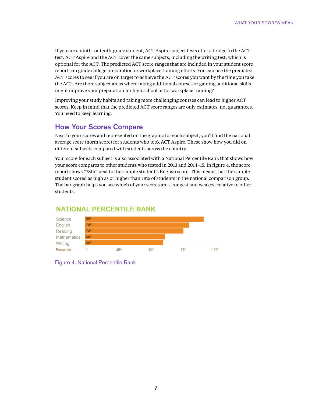If you are a ninth- or tenth-grade student, ACT Aspire subject tests offer a bridge to the ACT test. ACT Aspire and the ACT cover the same subjects, including the writing test, which is optional for the ACT. The predicted ACT score ranges that are included in your student score report can guide college preparation or workplace training efforts. You can use the predicted ACT scores to see if you are on target to achieve the ACT scores you want by the time you take the ACT. Are there subject areas where taking additional courses or gaining additional skills might improve your preparation for high school or for workplace training?

Improving your study habits and taking more challenging courses can lead to higher ACT scores. Keep in mind that the predicted ACT score ranges are only estimates, not guarantees. You need to keep learning.

### How Your Scores Compare

Next to your scores and represented on the graphic for each subject, you'll find the national average score (norm score) for students who took ACT Aspire. These show how you did on different subjects compared with students across the country.

Your score for each subject is also associated with a National Percentile Rank that shows how your score compares to other students who tested in 2013 and 2014–15. In figure 4, the score report shows "78th" next to the sample student's English score. This means that the sample student scored as high as or higher than 78% of students in the national comparison group. The bar graph helps you see which of your scores are strongest and weakest relative to other students.

### **NATIONAL PERCENTILE RANK**



Figure 4. National Percentile Rank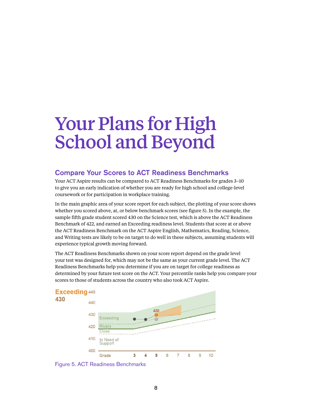# Your Plans for High School and Beyond

### Compare Your Scores to ACT Readiness Benchmarks

Your ACT Aspire results can be compared to ACT Readiness Benchmarks for grades 3–10 to give you an early indication of whether you are ready for high school and college-level coursework or for participation in workplace training.

In the main graphic area of your score report for each subject, the plotting of your score shows whether you scored above, at, or below benchmark scores (see figure 5). In the example, the sample fifth grade student scored 430 on the Science test, which is above the ACT Readiness Benchmark of 422, and earned an Exceeding readiness level. Students that score at or above the ACT Readiness Benchmark on the ACT Aspire English, Mathematics, Reading, Science, and Writing tests are likely to be on target to do well in these subjects, assuming students will experience typical growth moving forward.

The ACT Readiness Benchmarks shown on your score report depend on the grade level your test was designed for, which may not be the same as your current grade level. The ACT Readiness Benchmarks help you determine if you are on target for college readiness as determined by your future test score on the ACT. Your percentile ranks help you compare your scores to those of students across the country who also took ACT Aspire.



Figure 5. ACT Readiness Benchmarks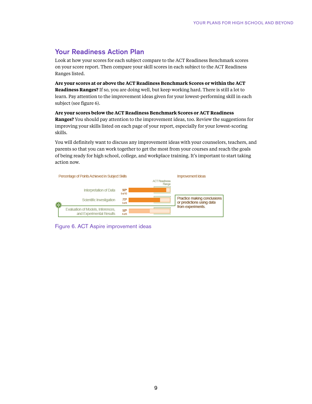### Your Readiness Action Plan

Look at how your scores for each subject compare to the ACT Readiness Benchmark scores on your score report. Then compare your skill scores in each subject to the ACT Readiness Ranges listed.

**Are your scores at or above the ACT Readiness Benchmark Scores or within the ACT Readiness Ranges?** If so, you are doing well, but keep working hard. There is still a lot to learn. Pay attention to the improvement ideas given for your lowest-performing skill in each subject (see figure 6).

#### **Are your scores below the ACT Readiness Benchmark Scores or ACT Readiness**

**Ranges?** You should pay attention to the improvement ideas, too. Review the suggestions for improving your skills listed on each page of your report, especially for your lowest-scoring skills.

You will definitely want to discuss any improvement ideas with your counselors, teachers, and parents so that you can work together to get the most from your courses and reach the goals of being ready for high school, college, and workplace training. It's important to start taking action now.



Figure 6. ACT Aspire improvement ideas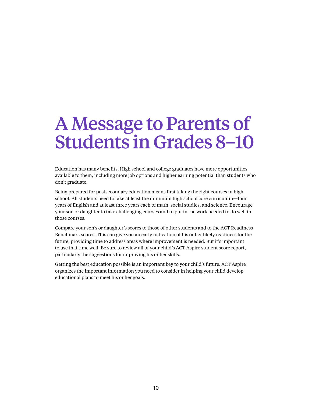# A Message to Parents of Students in Grades 8–10

Education has many benefits. High school and college graduates have more opportunities available to them, including more job options and higher earning potential than students who don't graduate.

Being prepared for postsecondary education means first taking the right courses in high school. All students need to take at least the minimum high school core curriculum—four years of English and at least three years each of math, social studies, and science. Encourage your son or daughter to take challenging courses and to put in the work needed to do well in those courses.

Compare your son's or daughter's scores to those of other students and to the ACT Readiness Benchmark scores. This can give you an early indication of his or her likely readiness for the future, providing time to address areas where improvement is needed. But it's important to use that time well. Be sure to review all of your child's ACT Aspire student score report, particularly the suggestions for improving his or her skills.

Getting the best education possible is an important key to your child's future. ACT Aspire organizes the important information you need to consider in helping your child develop educational plans to meet his or her goals.